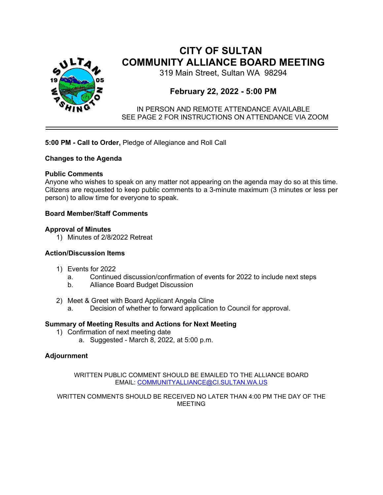

# **CITY OF SULTAN COMMUNITY ALLIANCE BOARD MEETING**

319 Main Street, Sultan WA 98294

# **February 22, 2022 - 5:00 PM**

IN PERSON AND REMOTE ATTENDANCE AVAILABLE SEE PAGE 2 FOR INSTRUCTIONS ON ATTENDANCE VIA ZOOM

#### **5:00 PM - Call to Order,** Pledge of Allegiance and Roll Call

#### **Changes to the Agenda**

#### **Public Comments**

Anyone who wishes to speak on any matter not appearing on the agenda may do so at this time. Citizens are requested to keep public comments to a 3-minute maximum (3 minutes or less per person) to allow time for everyone to speak.

#### **Board Member/Staff Comments**

#### **Approval of Minutes**

1) Minutes of 2/8/2022 Retreat

#### **Action/Discussion Items**

- 1) Events for 2022
	- a. Continued discussion/confirmation of events for 2022 to include next steps
	- b. Alliance Board Budget Discussion
- 2) Meet & Greet with Board Applicant Angela Cline
	- a. Decision of whether to forward application to Council for approval.

## **Summary of Meeting Results and Actions for Next Meeting**

- 1) Confirmation of next meeting date
	- a. Suggested March 8, 2022, at 5:00 p.m.

## **Adjournment**

WRITTEN PUBLIC COMMENT SHOULD BE EMAILED TO THE ALLIANCE BOARD EMAIL: [COMMUNITYALLIANCE@CI.SULTAN.WA.US](mailto:TAMI.PEVEY@CI.SULTAN.WA.US)

WRITTEN COMMENTS SHOULD BE RECEIVED NO LATER THAN 4:00 PM THE DAY OF THE MEETING